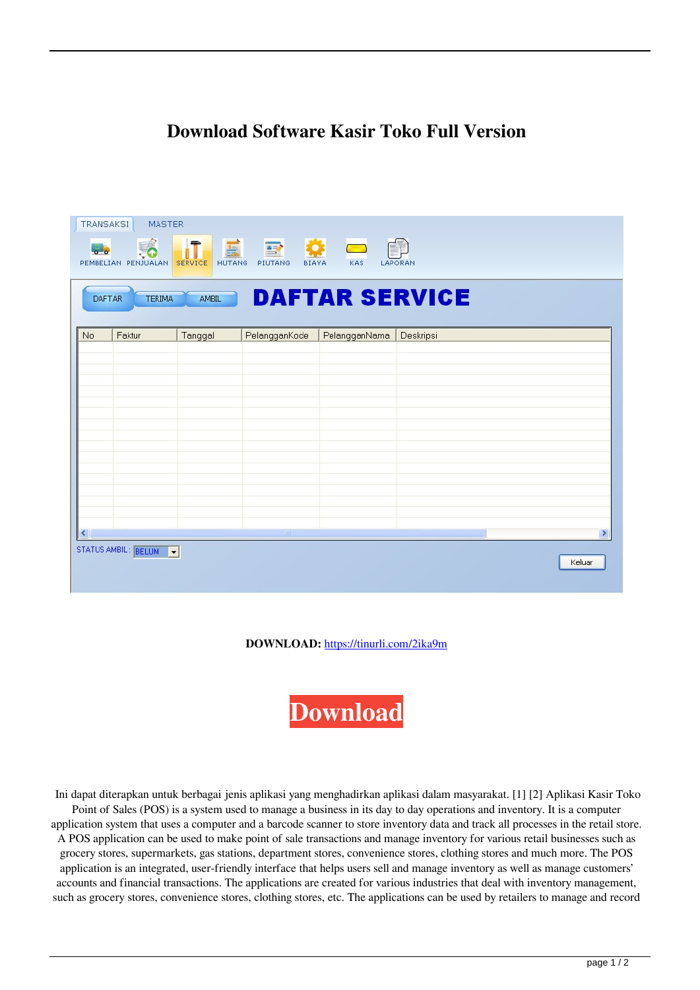## **Download Software Kasir Toko Full Version**

|                                                                         | <b>TRANSAKSI</b><br><b>MASTER</b><br>PEMBELIAN PENJUALAN | 盖<br><b>HUTANG</b><br><b>SERVICE</b> | <b>BIAYA</b><br>PIUTANG | 券<br>$\mathcal{L}_{\text{max}}$<br>KAS | LAPORAN   |      |
|-------------------------------------------------------------------------|----------------------------------------------------------|--------------------------------------|-------------------------|----------------------------------------|-----------|------|
| <b>DAFTAR SERVICE</b><br><b>AMBIL</b><br><b>TERIMA</b><br><b>DAFTAR</b> |                                                          |                                      |                         |                                        |           |      |
| No                                                                      | Faktur                                                   | Tanggal                              | PelangganKode           | PelangganNama                          | Deskripsi |      |
|                                                                         |                                                          |                                      |                         |                                        |           |      |
|                                                                         |                                                          |                                      |                         |                                        |           |      |
|                                                                         |                                                          |                                      |                         |                                        |           |      |
|                                                                         |                                                          |                                      |                         |                                        |           |      |
|                                                                         |                                                          |                                      |                         |                                        |           |      |
|                                                                         |                                                          |                                      |                         |                                        |           |      |
|                                                                         |                                                          |                                      |                         |                                        |           |      |
|                                                                         |                                                          |                                      |                         |                                        |           |      |
|                                                                         |                                                          |                                      |                         |                                        |           |      |
|                                                                         |                                                          |                                      |                         |                                        |           |      |
| ≺                                                                       |                                                          |                                      | $\parallel$ m           |                                        |           | $\,$ |
| STATUS AMBIL: BELUM<br>Keluar                                           |                                                          |                                      |                         |                                        |           |      |

**DOWNLOAD:** <https://tinurli.com/2ika9m>

**[Download](https://tinurli.com/2ika9m)**

 Ini dapat diterapkan untuk berbagai jenis aplikasi yang menghadirkan aplikasi dalam masyarakat. [1] [2] Aplikasi Kasir Toko Point of Sales (POS) is a system used to manage a business in its day to day operations and inventory. It is a computer application system that uses a computer and a barcode scanner to store inventory data and track all processes in the retail store. A POS application can be used to make point of sale transactions and manage inventory for various retail businesses such as grocery stores, supermarkets, gas stations, department stores, convenience stores, clothing stores and much more. The POS application is an integrated, user-friendly interface that helps users sell and manage inventory as well as manage customers' accounts and financial transactions. The applications are created for various industries that deal with inventory management, such as grocery stores, convenience stores, clothing stores, etc. The applications can be used by retailers to manage and record